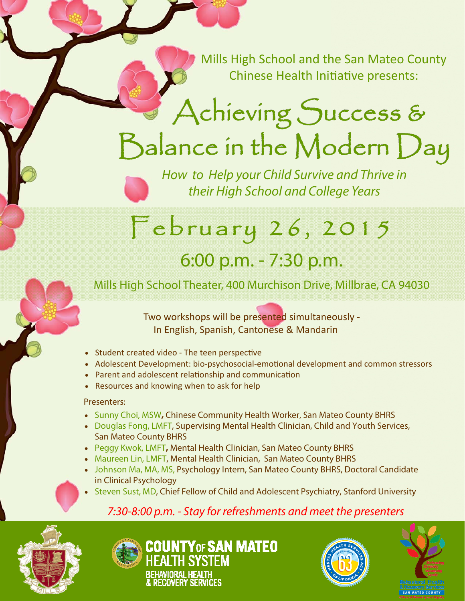Mills High School and the San Mateo County Chinese Health Initiative presents:

## Achieving Success &  $B$ alance in the Modern  $D$ ay

How to Help your Child Survive and Thrive in their High School and College Years

## February 26, 2015

### 6:00 p.m. - 7:30 p.m.

Mills High School Theater, 400 Murchison Drive, Millbrae, CA 94030

Two workshops will be presented simultaneously ‐ In English, Spanish, Cantonese & Mandarin

- Student created video The teen perspective
- Adolescent Development: bio-psychosocial-emotional development and common stressors
- Parent and adolescent relationship and communication
- Resources and knowing when to ask for help

#### Presenters:

- Sunny Choi, MSW**,** Chinese Community Health Worker, San Mateo County BHRS
- Douglas Fong, LMFT, Supervising Mental Health Clinician, Child and Youth Services, San Mateo County BHRS
- Peggy Kwok, LMFT**,** Mental Health Clinician, San Mateo County BHRS
- Maureen Lin, LMFT, Mental Health Clinician, San Mateo County BHRS
- Johnson Ma, MA, MS, Psychology Intern, San Mateo County BHRS, Doctoral Candidate in Clinical Psychology
- Steven Sust, MD, Chief Fellow of Child and Adolescent Psychiatry, Stanford University

### 7:30-8:00 p.m. - Stay for refreshments and meet the presenters